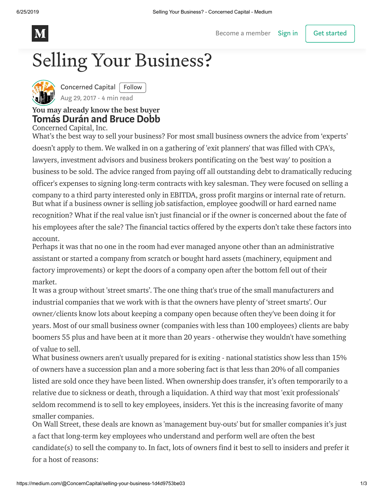

Become a [member](https://medium.com/membership?source=upgrade_membership---nav_full------------------------) [Sign](https://medium.com/m/signin?operation=login&redirect=https%3A%2F%2Fmedium.com%2F%40ConcernCapital%2Fselling-your-business-1d4d9753be03&source=--------------------------nav_reg-) in | Get started

# Selling Your Business?



[Concerned](https://medium.com/@ConcernCapital) Capital | Follow Aug 29, [2017](https://medium.com/@ConcernCapital/selling-your-business-1d4d9753be03) · 4 min read

#### You may already know the best buyer Tomás Durán and Bruce Dobb

Concerned Capital, Inc.

What's the best way to sell your business? For most small business owners the advice from 'experts' doesn't apply to them. We walked in on a gathering of 'exit planners' that was filled with CPA's, lawyers, investment advisors and business brokers pontificating on the 'best way' to position a business to be sold. The advice ranged from paying off all outstanding debt to dramatically reducing officer's expenses to signing long-term contracts with key salesman. They were focused on selling a company to a third party interested only in EBITDA, gross profit margins or internal rate of return. But what if a business owner is selling job satisfaction, employee goodwill or hard earned name recognition? What if the real value isn't just financial or if the owner is concerned about the fate of his employees after the sale? The financial tactics offered by the experts don't take these factors into account.

Perhaps it was that no one in the room had ever managed anyone other than an administrative assistant or started a company from scratch or bought hard assets (machinery, equipment and factory improvements) or kept the doors of a company open after the bottom fell out of their market.

It was a group without 'street smarts'. The one thing that's true of the small manufacturers and industrial companies that we work with is that the owners have plenty of 'street smarts'. Our owner/clients know lots about keeping a company open because often they've been doing it for years. Most of our small business owner (companies with less than 100 employees) clients are baby boomers 55 plus and have been at it more than 20 years - otherwise they wouldn't have something of value to sell.

What business owners aren't usually prepared for is exiting - national statistics show less than 15% of owners have a succession plan and a more sobering fact is that less than 20% of all companies listed are sold once they have been listed. When ownership does transfer, it's often temporarily to a relative due to sickness or death, through a liquidation. A third way that most 'exit professionals' seldom recommend is to sell to key employees, insiders. Yet this is the increasing favorite of many smaller companies.

On Wall Street, these deals are known as 'management buy-outs' but for smaller companies it's just a fact that long-term key employees who understand and perform well are often the best candidate(s) to sell the company to. In fact, lots of owners find it best to sell to insiders and prefer it for a host of reasons: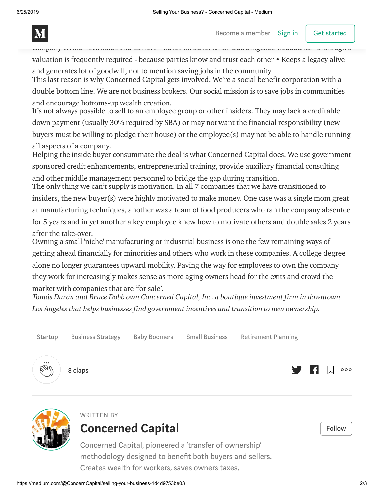

company is sold 'lock stock and barrel'. • Saves on adversarial 'due diligence' headaches - although a valuation is frequently required - because parties know and trust each other • Keeps a legacy alive and generates lot of goodwill, not to mention saving jobs in the community

This last reason is why Concerned Capital gets involved. We're a social benefit corporation with a double bottom line. We are not business brokers. Our social mission is to save jobs in communities and encourage bottoms-up wealth creation.

It's not always possible to sell to an employee group or other insiders. They may lack a creditable down payment (usually 30% required by SBA) or may not want the financial responsibility (new buyers must be willing to pledge their house) or the employee(s) may not be able to handle running all aspects of a company.

Helping the inside buyer consummate the deal is what Concerned Capital does. We use government sponsored credit enhancements, entrepreneurial training, provide auxiliary financial consulting and other middle management personnel to bridge the gap during transition.

The only thing we can't supply is motivation. In all 7 companies that we have transitioned to insiders, the new buyer(s) were highly motivated to make money. One case was a single mom great at manufacturing techniques, another was a team of food producers who ran the company absentee for 5 years and in yet another a key employee knew how to motivate others and double sales 2 years after the take-over.

Owning a small 'niche' manufacturing or industrial business is one the few remaining ways of getting ahead financially for minorities and others who work in these companies. A college degree alone no longer guarantees upward mobility. Paving the way for employees to own the company they work for increasingly makes sense as more aging owners head for the exits and crowd the market with companies that are 'for sale'.

Tomás Durán and Bruce Dobb own Concerned Capital, Inc. a boutique investment firm in downtown *Los Angeles that helps businesses find government incentives and transition to new ownership.*



[Startup](https://medium.com/tag/startup) [Business](https://medium.com/tag/business-strategy) Strategy Baby [Boomers](https://medium.com/tag/baby-boomers) Small [Business](https://medium.com/tag/small-business) [Retirement](https://medium.com/tag/retirement-planning) Planning



8 claps





#### WRITTEN BY [Concerned](https://medium.com/@ConcernCapital?source=follow_footer--------------------------follow_footer-) Capital **Concerned Capital**

Concerned Capital, pioneered a 'transfer of ownership' methodology designed to benefit both buyers and sellers. Creates wealth for workers, saves owners taxes.